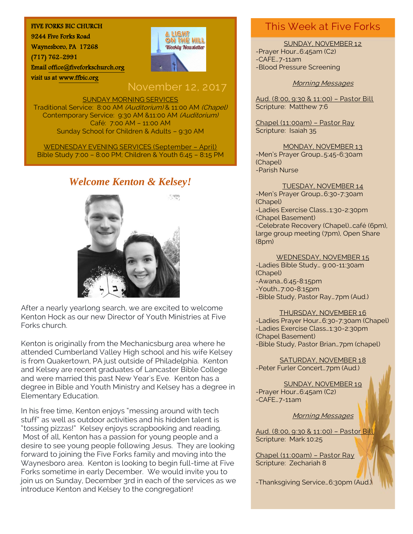#### FIVE FORKS BIC CHURCH

9244 Five Forks Road Waynesboro, PA 17268 (717) 762-2991 Emai[l office@fiveforkschurch.org](mailto:office@fiveforkschurch.org)  visit us at [www.ffbic.org](http://www.ffbic.org/) 



## November 12, 2017

#### SUNDAY MORNING SERVICES

Traditional Service: 8:00 AM (Auditorium) & 11:00 AM (Chapel) Contemporary Service: 9:30 AM &11:00 AM (Auditorium) Café: 7:00 AM – 11:00 AM Sunday School for Children & Adults – 9:30 AM

WEDNESDAY EVENING SERVICES (September – April) Bible Study 7:00 – 8:00 PM; Children & Youth 6:45 – 8:15 PM

## *Welcome Kenton & Kelsey!*



After a nearly yearlong search, we are excited to welcome Kenton Hock as our new Director of Youth Ministries at Five Forks church.

Kenton is originally from the Mechanicsburg area where he attended Cumberland Valley High school and his wife Kelsey is from Quakertown, PA just outside of Philadelphia. Kenton and Kelsey are recent graduates of Lancaster Bible College and were married this past New Year's Eve. Kenton has a degree in Bible and Youth Ministry and Kelsey has a degree in Elementary Education.

In his free time, Kenton enjoys "messing around with tech stuff" as well as outdoor activities and his hidden talent is "tossing pizzas!" Kelsey enjoys scrapbooking and reading. Most of all, Kenton has a passion for young people and a desire to see young people following Jesus. They are looking forward to joining the Five Forks family and moving into the Waynesboro area. Kenton is looking to begin full-time at Five Forks sometime in early December. We would invite you to join us on Sunday, December 3rd in each of the services as we introduce Kenton and Kelsey to the congregation!

### This Week at Five Forks

#### SUNDAY, NOVEMBER 12

-Prayer Hour…6:45am (C2) -CAFE…7-11am -Blood Pressure Screening

#### Morning Messages

Aud. (8:00, 9:30 & 11:00) – Pastor Bill Scripture: Matthew 7:6

Chapel (11:00am) – Pastor Ray Scripture: Isaiah 35

MONDAY, NOVEMBER 13 -Men's Prayer Group…5:45-6:30am (Chapel) -Parish Nurse

#### TUESDAY, NOVEMBER 14

-Men's Prayer Group…6:30-7:30am (Chapel) -Ladies Exercise Class…1:30-2:30pm (Chapel Basement) -Celebrate Recovery (Chapel)…café (6pm), large group meeting (7pm), Open Share (8pm)

#### WEDNESDAY, NOVEMBER 15

-Ladies Bible Study… 9:00-11:30am (Chapel) -Awana…6:45-8:15pm -Youth…7:00-8:15pm -Bible Study, Pastor Ray…7pm (Aud.)

#### THURSDAY, NOVEMBER 16

-Ladies Prayer Hour…6:30-7:30am (Chapel) -Ladies Exercise Class…1:30-2:30pm (Chapel Basement) -Bible Study, Pastor Brian…7pm (chapel)

SATURDAY, NOVEMBER 18 -Peter Furler Concert…7pm (Aud.)

SUNDAY, NOVEMBER 19 -Prayer Hour…6:45am (C2) -CAFE…7-11am

#### Morning Messages

Aud. (8:00, 9:30 & 11:00) – Pastor Bill Scripture: Mark 10:25

Chapel (11:00am) – Pastor Ray Scripture: Zechariah 8

-Thanksgiving Service…6:30pm (Aud.)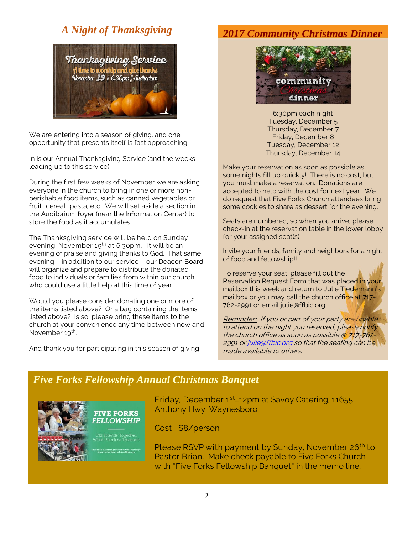### *A Night of Thanksgiving*



We are entering into a season of giving, and one opportunity that presents itself is fast approaching.

In is our Annual Thanksgiving Service (and the weeks leading up to this service).

During the first few weeks of November we are asking everyone in the church to bring in one or more nonperishable food items, such as canned vegetables or fruit...cereal...pasta, etc. We will set aside a section in the Auditorium foyer (near the Information Center) to store the food as it accumulates.

The Thanksgiving service will be held on Sunday evening, November 19<sup>th</sup> at 6:30pm. It will be an evening of praise and giving thanks to God. That same evening – in addition to our service – our Deacon Board will organize and prepare to distribute the donated food to individuals or families from within our church who could use a little help at this time of year.

Would you please consider donating one or more of the items listed above? Or a bag containing the items listed above? Is so, please bring these items to the church at your convenience any time between now and November 19<sup>th</sup>.

And thank you for participating in this season of giving!

### *2017 Community Christmas Dinner*



6:30pm each night Tuesday, December 5 Thursday, December 7 Friday, December 8 Tuesday, December 12 Thursday, December 14

Make your reservation as soon as possible as some nights fill up quickly! There is no cost, but you must make a reservation. Donations are accepted to help with the cost for next year. We do request that Five Forks Church attendees bring some cookies to share as dessert for the evening.

Seats are numbered, so when you arrive, please check-in at the reservation table in the lower lobby for your assigned seat(s).

Invite your friends, family and neighbors for a night of food and fellowship!!

To reserve your seat, please fill out the Reservation Request Form that was placed in your mailbox this week and return to Julie Tiedemann's mailbox or you may call the church office at 717-762-2991 or email julie@ffbic.org.

Reminder: If you or part of your party are unable to attend on the night you reserved, please notify the church office as soon as possible @ 717-762 2991 o[r julie@ffbic.org](mailto:julie@ffbic.org) so that the seating can be made available to others.

### *Five Forks Fellowship Annual Christmas Banquet*



**FIVE FORKS FELLOWSHIP** 

Friday, December 1<sup>st</sup> 12pm at Savoy Catering, 11655 Anthony Hwy, Waynesboro

Cost: \$8/person

Please RSVP with payment by Sunday, November 26<sup>th</sup> to Pastor Brian. Make check payable to Five Forks Church with "Five Forks Fellowship Banquet" in the memo line.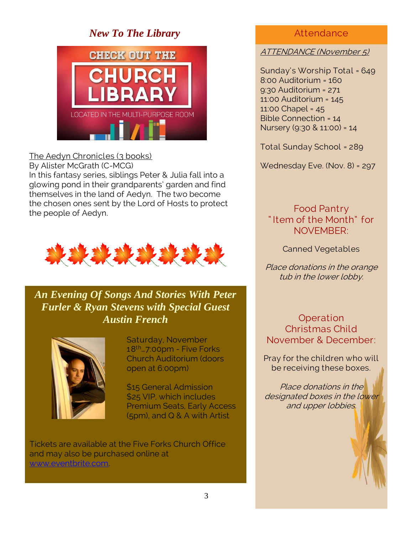### *New To The Library*



### The Aedyn Chronicles (3 books)

By Alister McGrath (C-MCG)

In this fantasy series, siblings Peter & Julia fall into a glowing pond in their grandparents' garden and find themselves in the land of Aedyn. The two become the chosen ones sent by the Lord of Hosts to protect the people of Aedyn.



*An Evening Of Songs And Stories With Peter Furler & Ryan Stevens with Special Guest Austin French*



Saturday, November 18th…7:00pm - Five Forks Church Auditorium (doors open at 6:00pm)

\$15 General Admission \$25 VIP, which includes Premium Seats, Early Access (5pm), and Q & A with Artist

Tickets are available at the Five Forks Church Office and may also be purchased online at [www.eventbrite.com.](http://www.eventbrite.com/)

### **Attendance**

### ATTENDANCE (November 5)

Sunday's Worship Total = 649 8:00 Auditorium = 160 9:30 Auditorium = 271 11:00 Auditorium = 145 11:00 Chapel = 45 Bible Connection = 14 Nursery (9:30 & 11:00) = 14

Total Sunday School = 289

Wednesday Eve. (Nov. 8) = 297

Food Pantry " Item of the Month" for NOVEMBER:

Canned Vegetables

Place donations in the orange tub in the lower lobby.

**Operation** Christmas Child November & December:

Pray for the children who will be receiving these boxes.

Place donations in the designated boxes in the lower and upper lobbies.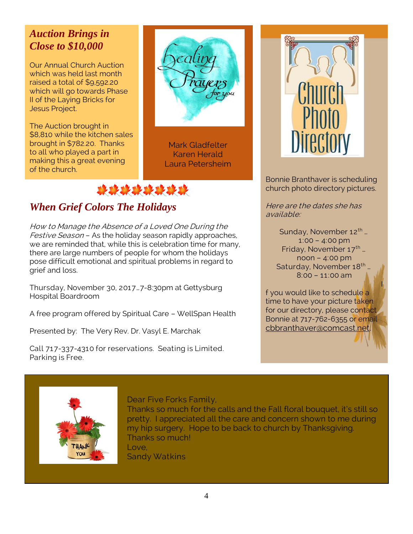## *Auction Brings in Close to \$10,000*

Our Annual Church Auction which was held last month raised a total of \$9,592.20 which will go towards Phase II of the Laying Bricks for Jesus Project.

The Auction brought in \$8,810 while the kitchen sales brought in \$782.20. Thanks to all who played a part in making this a great evening of the church.

Mark Gladfelter Karen Herald Laura Petersheim



# *When Grief Colors The Holidays*

How to Manage the Absence of a Loved One During the Festive Season - As the holiday season rapidly approaches, we are reminded that, while this is celebration time for many, there are large numbers of people for whom the holidays pose difficult emotional and spiritual problems in regard to grief and loss.

Thursday, November 30, 2017…7-8:30pm at Gettysburg Hospital Boardroom

A free program offered by Spiritual Care – WellSpan Health

Presented by: The Very Rev. Dr. Vasyl E. Marchak

Call 717-337-4310 for reservations. Seating is Limited. Parking is Free.



Bonnie Branthaver is scheduling church photo directory pictures.

Here are the dates she has available:

> Sunday, November 12<sup>th</sup> ... 1:00 – 4:00 pm Friday, November  $17^{\text{th}}$  ... noon – 4:00 pm Saturday, November 18<sup>th</sup> … 8:00 – 11:00 am

the contract of the contract of the contract of the contract of the contract of the contract of the contract of f you would like to schedule a time to have your picture taken for our directory, please contact Bonnie at 717-762-6355 or email [cbbranthaver@comcast.net.](mailto:cbbranthaver@comcast.net)



Dear Five Forks Family,

Thanks so much for the calls and the Fall floral bouquet, it's still so pretty. I appreciated all the care and concern shown to me during my hip surgery. Hope to be back to church by Thanksgiving. Thanks so much! Love, Sandy Watkins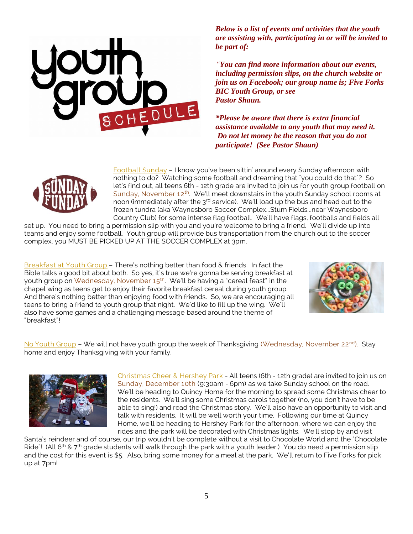

*Below is a list of events and activities that the youth are assisting with, participating in or will be invited to be part of:*

*"You can find more information about our events, including permission slips, on the church website or join us on Facebook; our group name is; Five Forks BIC Youth Group, or see Pastor Shaun.*

*\*Please be aware that there is extra financial assistance available to any youth that may need it. Do not let money be the reason that you do not participate! (See Pastor Shaun)*



Football Sunday – I know you've been sittin' around every Sunday afternoon with nothing to do? Watching some football and dreaming that "you could do that"? So let's find out, all teens 6th - 12th grade are invited to join us for youth group football on Sunday, November 12<sup>th</sup>. We'll meet downstairs in the youth Sunday school rooms at noon (immediately after the 3<sup>rd</sup> service). We'll load up the bus and head out to the frozen tundra (aka Waynesboro Soccer Complex...Stum Fields...near Waynesboro Country Club) for some intense flag football. We'll have flags, footballs and fields all

set up. You need to bring a permission slip with you and you're welcome to bring a friend. We'll divide up into teams and enjoy some football. Youth group will provide bus transportation from the church out to the soccer complex, you MUST BE PICKED UP AT THE SOCCER COMPLEX at 3pm.

Breakfast at Youth Group – There's nothing better than food & friends. In fact the Bible talks a good bit about both. So yes, it's true we're gonna be serving breakfast at youth group on Wednesday, November 15 $^{\rm th}$ . We'll be having a "cereal feast" in the chapel wing as teens get to enjoy their favorite breakfast cereal during youth group. And there's nothing better than enjoying food with friends. So, we are encouraging all teens to bring a friend to youth group that night. We'd like to fill up the wing. We'll also have some games and a challenging message based around the theme of "breakfast"!



No Youth Group - We will not have youth group the week of Thanksgiving (Wednesday, November 22<sup>nd</sup>). Stay home and enjoy Thanksgiving with your family.



Christmas Cheer & Hershey Park - All teens (6th - 12th grade) are invited to join us on Sunday, December 10th (9:30am - 6pm) as we take Sunday school on the road. We'll be heading to Quincy Home for the morning to spread some Christmas cheer to the residents. We'll sing some Christmas carols together (no, you don't have to be able to sing!) and read the Christmas story. We'll also have an opportunity to visit and talk with residents. It will be well worth your time. Following our time at Quincy Home, we'll be heading to Hershey Park for the afternoon, where we can enjoy the rides and the park will be decorated with Christmas lights. We'll stop by and visit

Santa's reindeer and of course, our trip wouldn't be complete without a visit to Chocolate World and the "Chocolate Ride"! (All 6<sup>th</sup> & 7<sup>th</sup> grade students will walk through the park with a youth leader.) You do need a permission slip and the cost for this event is \$5. Also, bring some money for a meal at the park. We'll return to Five Forks for pick up at 7pm!